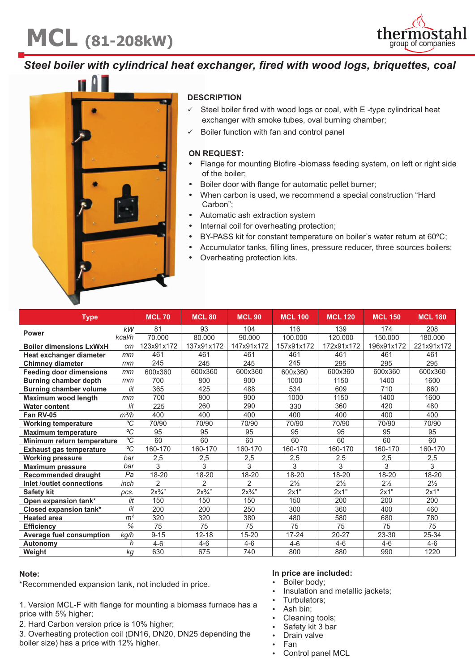# **MCL** (81-208kW) the impostation of companies



### *Steel boiler with cylindrical heat exchanger, fired with wood logs, briquettes, coal*



#### **DESCRIPTION**

- Steel boiler fired with wood logs or coal, with E-type cylindrical heat exchanger with smoke tubes, oval burning chamber;
- Boiler function with fan and control panel

#### **ON REQUEST**

- **:** Flange for mounting Biofire -biomass feeding system, on left or right side of the boiler;<br>Boiler door with flange for automatic pellet burner;
- 
- Boiler door with flange for automatic pellet burner; When carbon is used, we recommend a special construction "Hard
- ;"Carbon<br>Automation
- Automatic ash extraction system<br>• Internal coil for overheating prote
- Internal coil for overheating protection;<br>BY-PASS kit for constant temperature on boiler's water return at 60°C;
- BY-PASS kit for constant temperature on boiler's water return at 60°C;<br>■ Accumulator tanks, filling lines, pressure reducer, three sources boiler Accumulator tanks, filling lines, pressure reducer, three sources boilers;
- Overheating protection kits.

| <b>Type</b>                     |                          | <b>MCL 70</b>  | <b>MCL 80</b>  | <b>MCL 90</b>  | <b>MCL 100</b> | <b>MCL 120</b> | <b>MCL 150</b> | <b>MCL 180</b> |
|---------------------------------|--------------------------|----------------|----------------|----------------|----------------|----------------|----------------|----------------|
| Power                           | kW                       | 81             | 93             | 104            | 116            | 139            | 174            | 208            |
|                                 | kcal/h                   | 70.000         | 80.000         | 90.000         | 100.000        | 120.000        | 150.000        | 180.000        |
| <b>Boiler dimensions LxWxH</b>  | cm                       | 123x91x172     | 137x91x172     | 147x91x172     | 157x91x172     | 172x91x172     | 196x91x172     | 221x91x172     |
| Heat exchanger diameter         | mm                       | 461            | 461            | 461            | 461            | 461            | 461            | 461            |
| <b>Chimney diameter</b>         | mm                       | 245            | 245            | 245            | 245            | 295            | 295            | 295            |
| <b>Feeding door dimensions</b>  | mm                       | 600x360        | 600x360        | 600x360        | 600x360        | 600x360        | 600x360        | 600x360        |
| <b>Burning chamber depth</b>    | mm                       | 700            | 800            | 900            | 1000           | 1150           | 1400           | 1600           |
| <b>Burning chamber volume</b>   | lit                      | 365            | 425            | 488            | 534            | 609            | 710            | 860            |
| Maximum wood length             | mm                       | 700            | 800            | 900            | 1000           | 1150           | 1400           | 1600           |
| <b>Water content</b>            | lit                      | 225            | 260            | 290            | 330            | 360            | 420            | 480            |
| Fan RV-05                       | m <sup>3</sup> /h        | 400            | 400            | 400            | 400            | 400            | 400            | 400            |
| <b>Working temperature</b>      | ${}^{\circ}C$            | 70/90          | 70/90          | 70/90          | 70/90          | 70/90          | 70/90          | 70/90          |
| <b>Maximum temperature</b>      | $\overline{C}$           | 95             | 95             | 95             | 95             | 95             | 95             | 95             |
| Minimum return temperature      | $\rm ^{o}C$              | 60             | 60             | 60             | 60             | 60             | 60             | 60             |
| <b>Exhaust gas temperature</b>  | ${}^{\circ}C$            | 160-170        | 160-170        | 160-170        | 160-170        | 160-170        | 160-170        | 160-170        |
| <b>Working pressure</b>         | bar                      | 2,5            | 2,5            | 2,5            | 2,5            | 2,5            | 2,5            | 2,5            |
| <b>Maximum pressure</b>         | bar                      | 3              | 3              | 3              | 3              | 3              | 3              | 3              |
| <b>Recommended draught</b>      | Pa                       | 18-20          | 18-20          | 18-20          | 18-20          | 18-20          | 18-20          | 18-20          |
| Inlet /outlet connections       | inch                     | $\overline{2}$ | $\overline{2}$ | $\overline{2}$ | $2\frac{1}{2}$ | $2\frac{1}{2}$ | $2\frac{1}{2}$ | $2\frac{1}{2}$ |
| <b>Safety kit</b>               | pcs.                     | $2x^{3}/x$ "   | $2x^{3}/4$ "   | $2x^{3}/x$     | 2x1"           | 2x1"           | 2x1"           | 2x1"           |
| Open expansion tank*            | lit                      | 150            | 150            | 150            | 150            | 200            | 200            | 200            |
| Closed expansion tank*          | lit                      | 200            | 200            | 250            | 300            | 360            | 400            | 460            |
| <b>Heated area</b>              | m <sup>2</sup>           | 320            | 320            | 380            | 480            | 580            | 680            | 780            |
| <b>Efficiency</b>               | $\overline{\frac{9}{6}}$ | 75             | 75             | 75             | 75             | 75             | 75             | 75             |
| <b>Average fuel consumption</b> | kg/h                     | $9 - 15$       | $12 - 18$      | 15-20          | 17-24          | 20-27          | 23-30          | 25-34          |
| Autonomy                        | h                        | $4 - 6$        | $4-6$          | $4 - 6$        | $4-6$          | $4 - 6$        | $4-6$          | $4 - 6$        |
| Weight                          | ka                       | 630            | 675            | 740            | 800            | 880            | 990            | 1220           |

#### **Note:**

\* Recommended expansion tank, not included in price.

1. Version MCL-F with flange for mounting a biomass furnace has a price with 5% higher;

2. Hard Carbon version price is 10% higher;

3. Overheating protection coil (DN16, DN20, DN25 depending the boiler size) has a price with 12% higher.

## **In price are included:**

- 
- Boiler body;<br>• Insulation ar • Insulation and metallic jackets;<br>• Turbulators;
- Turbulators;
- 
- Ash bin;<br>• Cleaning tools;
- Cleaning tools;<br>• Safety kit 3 bar
- Safety kit 3 bar<br>• Drain valve Drain valve<br>Fan
- 
- Fan<br>• Control panel MCL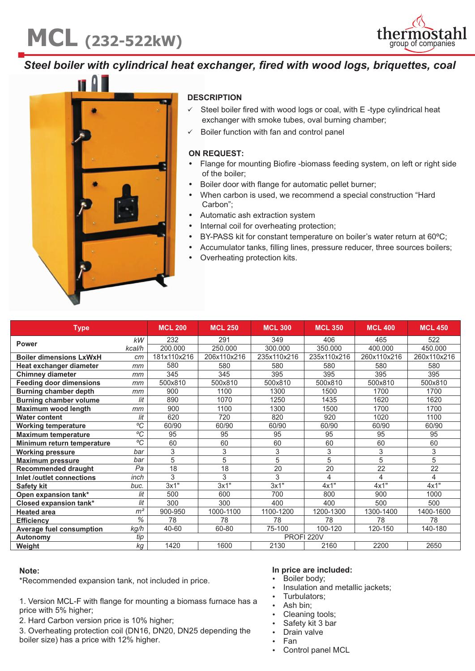# **MCL** (232-522kW) thermosta



### *Steel boiler with cylindrical heat exchanger, fired with wood logs, briquettes, coal*



#### **DESCRIPTION**

- Steel boiler fired with wood logs or coal, with E-type cylindrical heat exchanger with smoke tubes, oval burning chamber;
- Boiler function with fan and control panel

#### **ON REQUEST**

- **:** Flange for mounting Biofire -biomass feeding system, on left or right side of the boiler;<br>Boiler door with flange for automatic pellet burner;
- 
- Boiler door with flange for automatic pellet burner; When carbon is used, we recommend a special construction "Hard
- ;"Carbon<br>Automation
- Automatic ash extraction system<br>• Internal coil for overheating prote
- Internal coil for overheating protection;<br>BY-PASS kit for constant temperature on boiler's water return at 60°C; ■ BY-PASS kit for constant temperature on boiler's water return at 60°C;<br>■ Accumulator tanks, filling lines, pressure reducer, three sources boiler
- Accumulator tanks, filling lines, pressure reducer, three sources boilers;
- Overheating protection kits.

| <b>Type</b>                     |                | <b>MCL 200</b> | <b>MCL 250</b> | <b>MCL 300</b> | <b>MCL 350</b> | <b>MCL 400</b>  | <b>MCL 450</b> |  |
|---------------------------------|----------------|----------------|----------------|----------------|----------------|-----------------|----------------|--|
| <b>Power</b>                    | kW             | 232            | 291            | 349            | 406            | 465             | 522            |  |
|                                 | kcal/h         | 200.000        | 250.000        | 300.000        | 350.000        | 400.000         | 450.000        |  |
| <b>Boiler dimensions LxWxH</b>  | cm             | 181x110x216    | 206x110x216    | 235x110x216    | 235x110x216    | 260x110x216     | 260x110x216    |  |
| Heat exchanger diameter         | mm             | 580            | 580            | 580            | 580            | 580             | 580            |  |
| <b>Chimney diameter</b>         | mm             | 345            | 345            | 395            | 395            | 395             | 395            |  |
| <b>Feeding door dimensions</b>  | mm             | 500x810        | 500x810        | 500x810        | 500x810        | 500x810         | 500x810        |  |
| <b>Burning chamber depth</b>    | mm             | 900            | 1100           | 1300           | 1500           | 1700            | 1700           |  |
| <b>Burning chamber volume</b>   | lit            | 890            | 1070           | 1250           | 1435           | 1620            | 1620           |  |
| <b>Maximum wood length</b>      | mm             | 900            | 1100           | 1300           | 1500           | 1700            | 1700           |  |
| <b>Water content</b>            | lit            | 620            | 720            | 820            | 920            | 1020            | 1100           |  |
| <b>Working temperature</b>      | ${}^{\circ}C$  | 60/90          | 60/90          | 60/90          | 60/90          | 60/90           | 60/90          |  |
| <b>Maximum temperature</b>      | ${}^{\circ}C$  | 95             | 95             | 95             | 95             | 95              | 95             |  |
| Minimum return temperature      | $\rm ^{o}C$    | 60             | 60             | 60             | 60             | 60              | 60             |  |
| <b>Working pressure</b>         | bar            | 3              | 3              | 3              | 3              | 3               | 3              |  |
| <b>Maximum pressure</b>         | bar            | 5              | 5              | 5              | 5              | 5               | 5              |  |
| <b>Recommended draught</b>      | Pa             | 18             | 18             | 20             | 20             | $2\overline{2}$ | 22             |  |
| Inlet /outlet connections       | inch           | 3              | 3              | 3              | 4              | 4               | 4              |  |
| <b>Safety kit</b>               | buc.           | 3x1"           | 3x1"           | 3x1"           | 4x1"           | 4x1"            | 4x1"           |  |
| Open expansion tank*            | lit            | 500            | 600            | 700            | 800            | 900             | 1000           |  |
| Closed expansion tank*          | lit            | 300            | 300            | 400            | 400            | 500             | 500            |  |
| <b>Heated area</b>              | m <sup>2</sup> | 900-950        | 1000-1100      | 1100-1200      | 1200-1300      | 1300-1400       | 1400-1600      |  |
| <b>Efficiency</b>               | %              | 78             | 78             | 78             | 78             | 78              | 78             |  |
| <b>Average fuel consumption</b> | kg/h           | 40-60          | 60-80          | 75-100         | 100-120        | 120-150         | 140-180        |  |
| Autonomy                        | tip            | PROFI 220V     |                |                |                |                 |                |  |
| Weight                          | kg             | 1420           | 1600           | 2130           | 2160           | 2200            | 2650           |  |

#### **Note:**

\* Recommended expansion tank, not included in price.

1. Version MCL-F with flange for mounting a biomass furnace has a price with 5% higher;

2. Hard Carbon version price is 10% higher;

3. Overheating protection coil (DN16, DN20, DN25 depending the boiler size) has a price with 12% higher.

#### **In price are included:**

- 
- Boiler body;<br>• Insulation ar • Insulation and metallic jackets;<br>• Turbulators;
	- Turbulators;<br>Ash bin;
- 
- Cleaning tools; • Cleaning tools;<br>• Safety kit 3 bar
- Safety kit 3 bar<br>• Drain valve
- Drain valve<br>Fan
- 
- Fan<br>• Control panel MCL